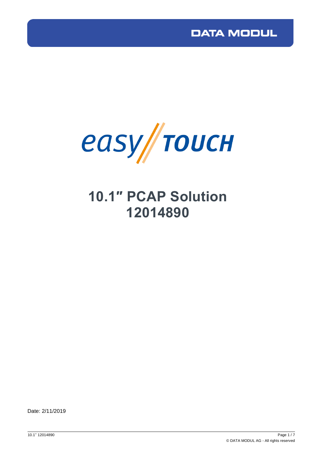

# **10.1″ PCAP Solution 12014890**

Date: 2/11/2019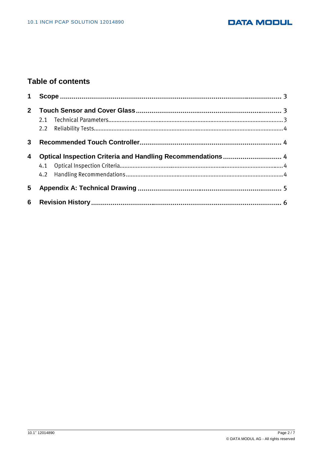#### **DATA MODUL**

### **Table of contents**

| $\mathbf 1$ |                                                            |  |
|-------------|------------------------------------------------------------|--|
| $2^{\circ}$ |                                                            |  |
| 3           |                                                            |  |
| 4           | Optical Inspection Criteria and Handling Recommendations 4 |  |
| 5           |                                                            |  |
|             |                                                            |  |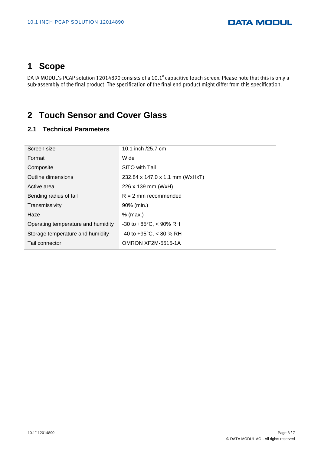# <span id="page-2-0"></span>**1 Scope**

DATA MODUL's PCAP solution 12014890 consists of a 10.1" capacitive touch screen. Please note that this is only a<br>sub-assembly of the final product. The specification of the final end product might differ from this specific

## <span id="page-2-1"></span>**2 Touch Sensor and Cover Glass**

#### **2.1 Technical Parameters**

| Screen size                        | 10.1 inch /25.7 cm                   |  |
|------------------------------------|--------------------------------------|--|
| Format                             | Wide                                 |  |
| Composite                          | SITO with Tail                       |  |
| Outline dimensions                 | 232.84 x 147.0 x 1.1 mm (WxHxT)      |  |
| Active area                        | 226 x 139 mm (WxH)                   |  |
| Bending radius of tail             | $R = 2$ mm recommended               |  |
| Transmissivity                     | 90% (min.)                           |  |
| Haze                               | $%$ (max.)                           |  |
| Operating temperature and humidity | $-30$ to $+85^{\circ}$ C, $<$ 90% RH |  |
| Storage temperature and humidity   | -40 to +95 $^{\circ}$ C, < 80 % RH   |  |
| Tail connector                     | OMRON XF2M-5515-1A                   |  |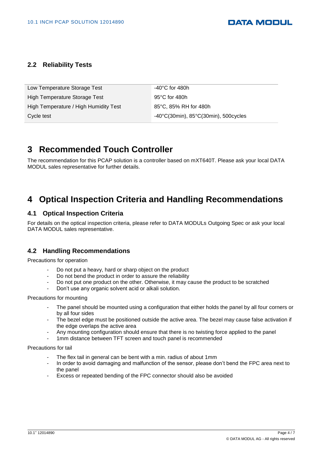#### **2.2 Reliability Tests**

| Low Temperature Storage Test          | $-40^{\circ}$ C for 480h                                  |
|---------------------------------------|-----------------------------------------------------------|
|                                       |                                                           |
| High Temperature Storage Test         | 95 $\degree$ C for 480h                                   |
|                                       |                                                           |
| High Temperature / High Humidity Test | 85°C, 85% RH for 480h                                     |
|                                       |                                                           |
|                                       |                                                           |
| Cycle test                            | $-40^{\circ}$ C(30min), 85 $^{\circ}$ C(30min), 500cycles |
|                                       |                                                           |

### <span id="page-3-0"></span>**3 Recommended Touch Controller**

The recommendation for this PCAP solution is a controller based on mXT640T. Please ask your local DATA MODUL sales representative for further details.

## <span id="page-3-1"></span>**4 Optical Inspection Criteria and Handling Recommendations**

#### **4.1 Optical Inspection Criteria**

For details on the optical inspection criteria, please refer to DATA MODULs Outgoing Spec or ask your local DATA MODUL sales representative.

#### **4.2 Handling Recommendations**

Precautions for operation

- Do not put a heavy, hard or sharp object on the product
- Do not bend the product in order to assure the reliability
- Do not put one product on the other. Otherwise, it may cause the product to be scratched
- Don't use any organic solvent acid or alkali solution.

Precautions for mounting

- The panel should be mounted using a configuration that either holds the panel by all four corners or by all four sides
- The bezel edge must be positioned outside the active area. The bezel may cause false activation if the edge overlaps the active area
- Any mounting configuration should ensure that there is no twisting force applied to the panel
- 1mm distance between TFT screen and touch panel is recommended

#### Precautions for tail

- The flex tail in general can be bent with a min. radius of about 1mm
- In order to avoid damaging and malfunction of the sensor, please don't bend the FPC area next to the panel
- Excess or repeated bending of the FPC connector should also be avoided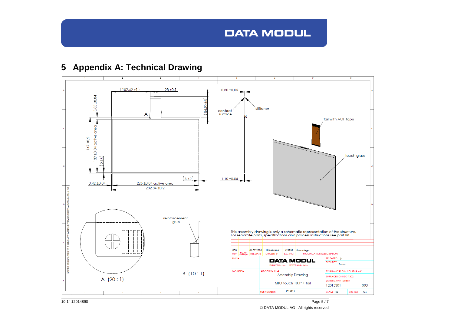# **DATA MODUL**



# **5 Appendix A: Technical Drawing**

<span id="page-4-0"></span>10.1'' 12014890 Page 5 / 7 © DATA MODUL AG - All rights reserved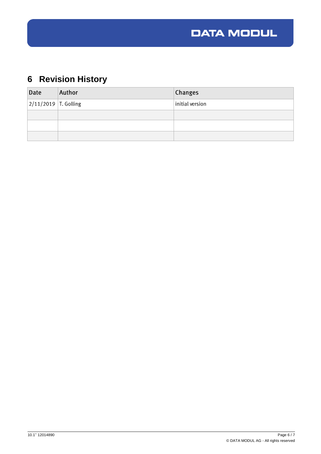

# <span id="page-5-0"></span>**6 Revision History**

| Date                     | Author | Changes         |
|--------------------------|--------|-----------------|
| $ 2/11/2019 $ T. Golling |        | initial version |
|                          |        |                 |
|                          |        |                 |
|                          |        |                 |